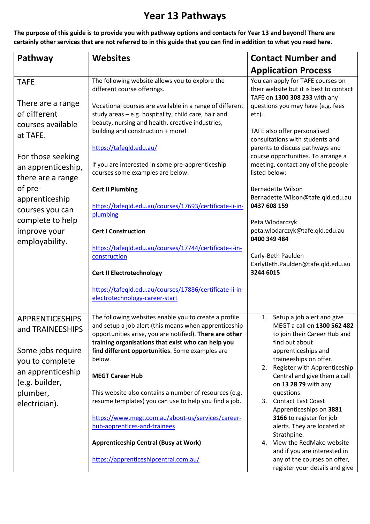## **Year 13 Pathways**

**The purpose of this guide is to provide you with pathway options and contacts for Year 13 and beyond! There are certainly other services that are not referred to in this guide that you can find in addition to what you read here.** 

| Pathway                                                                                                  | <b>Websites</b>                                                                                                                                                                                                                                                                              | <b>Contact Number and</b>                                                                                                                                                                                                   |
|----------------------------------------------------------------------------------------------------------|----------------------------------------------------------------------------------------------------------------------------------------------------------------------------------------------------------------------------------------------------------------------------------------------|-----------------------------------------------------------------------------------------------------------------------------------------------------------------------------------------------------------------------------|
|                                                                                                          |                                                                                                                                                                                                                                                                                              | <b>Application Process</b>                                                                                                                                                                                                  |
| <b>TAFE</b><br>There are a range<br>of different                                                         | The following website allows you to explore the<br>different course offerings.<br>Vocational courses are available in a range of different<br>study areas - e.g. hospitality, child care, hair and                                                                                           | You can apply for TAFE courses on<br>their website but it is best to contact<br>TAFE on 1300 308 233 with any<br>questions you may have (e.g. fees<br>etc).                                                                 |
| courses available<br>at TAFE.<br>For those seeking<br>an apprenticeship,<br>there are a range<br>of pre- | beauty, nursing and health, creative industries,<br>building and construction + more!<br>https://tafeqld.edu.au/<br>If you are interested in some pre-apprenticeship<br>courses some examples are below:<br><b>Cert II Plumbing</b>                                                          | TAFE also offer personalised<br>consultations with students and<br>parents to discuss pathways and<br>course opportunities. To arrange a<br>meeting, contact any of the people<br>listed below:<br><b>Bernadette Wilson</b> |
| apprenticeship<br>courses you can<br>complete to help<br>improve your                                    | https://tafeqld.edu.au/courses/17693/certificate-ii-in-<br>plumbing<br><b>Cert I Construction</b>                                                                                                                                                                                            | Bernadette.Wilson@tafe.qld.edu.au<br>0437 608 159<br>Peta Wlodarczyk<br>peta.wlodarczyk@tafe.qld.edu.au                                                                                                                     |
| employability.                                                                                           | https://tafeqld.edu.au/courses/17744/certificate-i-in-<br>construction                                                                                                                                                                                                                       | 0400 349 484<br>Carly-Beth Paulden<br>CarlyBeth.Paulden@tafe.qld.edu.au<br>3244 6015                                                                                                                                        |
|                                                                                                          | <b>Cert II Electrotechnology</b><br>https://tafeqld.edu.au/courses/17886/certificate-ii-in-<br>electrotechnology-career-start                                                                                                                                                                |                                                                                                                                                                                                                             |
| <b>APPRENTICESHIPS</b><br>and TRAINEESHIPS<br>Some jobs require<br>you to complete                       | The following websites enable you to create a profile<br>and setup a job alert (this means when apprenticeship<br>opportunities arise, you are notified). There are other<br>training organisations that exist who can help you<br>find different opportunities. Some examples are<br>below. | 1. Setup a job alert and give<br>MEGT a call on 1300 562 482<br>to join their Career Hub and<br>find out about<br>apprenticeships and<br>traineeships on offer.                                                             |
| an apprenticeship<br>(e.g. builder,                                                                      | <b>MEGT Career Hub</b>                                                                                                                                                                                                                                                                       | 2. Register with Apprenticeship<br>Central and give them a call<br>on 13 28 79 with any                                                                                                                                     |
| plumber,<br>electrician).                                                                                | This website also contains a number of resources (e.g.<br>resume templates) you can use to help you find a job.<br>https://www.megt.com.au/about-us/services/career-                                                                                                                         | questions.<br>3. Contact East Coast<br>Apprenticeships on 3881<br>3166 to register for job                                                                                                                                  |
|                                                                                                          | hub-apprentices-and-trainees                                                                                                                                                                                                                                                                 | alerts. They are located at<br>Strathpine.                                                                                                                                                                                  |
|                                                                                                          | <b>Apprenticeship Central (Busy at Work)</b><br>https://apprenticeshipcentral.com.au/                                                                                                                                                                                                        | 4. View the RedMako website<br>and if you are interested in<br>any of the courses on offer,<br>register your details and give                                                                                               |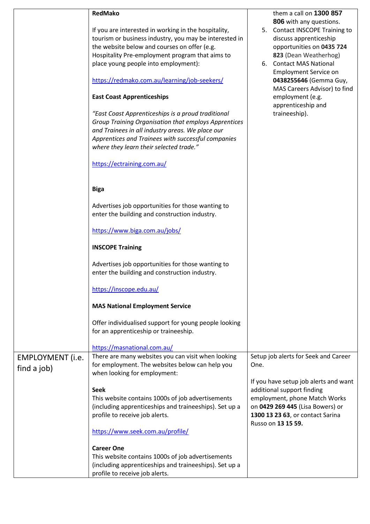|                         | <b>RedMako</b>                                                                                                                                                 | them a call on 1300 857<br>806 with any questions.                                    |
|-------------------------|----------------------------------------------------------------------------------------------------------------------------------------------------------------|---------------------------------------------------------------------------------------|
|                         | If you are interested in working in the hospitality,<br>tourism or business industry, you may be interested in<br>the website below and courses on offer (e.g. | 5. Contact INSCOPE Training to<br>discuss apprenticeship<br>opportunities on 0435 724 |
|                         | Hospitality Pre-employment program that aims to                                                                                                                | 823 (Dean Weatherhog)                                                                 |
|                         | place young people into employment):                                                                                                                           | 6. Contact MAS National                                                               |
|                         |                                                                                                                                                                | <b>Employment Service on</b>                                                          |
|                         | https://redmako.com.au/learning/job-seekers/                                                                                                                   | 0438255646 (Gemma Guy,<br>MAS Careers Advisor) to find                                |
|                         | <b>East Coast Apprenticeships</b>                                                                                                                              | employment (e.g.<br>apprenticeship and                                                |
|                         | "East Coast Apprenticeships is a proud traditional                                                                                                             | traineeship).                                                                         |
|                         | Group Training Organisation that employs Apprentices                                                                                                           |                                                                                       |
|                         | and Trainees in all industry areas. We place our                                                                                                               |                                                                                       |
|                         | Apprentices and Trainees with successful companies                                                                                                             |                                                                                       |
|                         | where they learn their selected trade."                                                                                                                        |                                                                                       |
|                         | https://ectraining.com.au/                                                                                                                                     |                                                                                       |
|                         | <b>Biga</b>                                                                                                                                                    |                                                                                       |
|                         | Advertises job opportunities for those wanting to<br>enter the building and construction industry.                                                             |                                                                                       |
|                         | https://www.biga.com.au/jobs/                                                                                                                                  |                                                                                       |
|                         | <b>INSCOPE Training</b>                                                                                                                                        |                                                                                       |
|                         | Advertises job opportunities for those wanting to<br>enter the building and construction industry.                                                             |                                                                                       |
|                         | https://inscope.edu.au/                                                                                                                                        |                                                                                       |
|                         | <b>MAS National Employment Service</b>                                                                                                                         |                                                                                       |
|                         | Offer individualised support for young people looking<br>for an apprenticeship or traineeship.                                                                 |                                                                                       |
|                         | https://masnational.com.au/                                                                                                                                    |                                                                                       |
| <b>EMPLOYMENT</b> (i.e. | There are many websites you can visit when looking                                                                                                             | Setup job alerts for Seek and Career                                                  |
| find a job)             | for employment. The websites below can help you<br>when looking for employment:                                                                                | One.                                                                                  |
|                         | <b>Seek</b>                                                                                                                                                    | If you have setup job alerts and want<br>additional support finding                   |
|                         | This website contains 1000s of job advertisements                                                                                                              | employment, phone Match Works                                                         |
|                         | (including apprenticeships and traineeships). Set up a                                                                                                         | on 0429 269 445 (Lisa Bowers) or                                                      |
|                         | profile to receive job alerts.                                                                                                                                 | 1300 13 23 63, or contact Sarina                                                      |
|                         | https://www.seek.com.au/profile/                                                                                                                               | Russo on 13 15 59.                                                                    |
|                         | <b>Career One</b>                                                                                                                                              |                                                                                       |
|                         | This website contains 1000s of job advertisements                                                                                                              |                                                                                       |
|                         | (including apprenticeships and traineeships). Set up a<br>profile to receive job alerts.                                                                       |                                                                                       |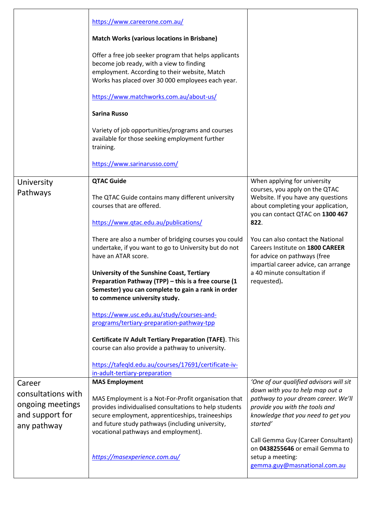|                                                                                    | https://www.careerone.com.au/<br><b>Match Works (various locations in Brisbane)</b><br>Offer a free job seeker program that helps applicants<br>become job ready, with a view to finding<br>employment. According to their website, Match<br>Works has placed over 30 000 employees each year.<br>https://www.matchworks.com.au/about-us/<br><b>Sarina Russo</b><br>Variety of job opportunities/programs and courses<br>available for those seeking employment further<br>training.<br>https://www.sarinarusso.com/                                                                                                                                                                                                                                                                |                                                                                                                                                                                                                                                                                                                                                                                       |
|------------------------------------------------------------------------------------|-------------------------------------------------------------------------------------------------------------------------------------------------------------------------------------------------------------------------------------------------------------------------------------------------------------------------------------------------------------------------------------------------------------------------------------------------------------------------------------------------------------------------------------------------------------------------------------------------------------------------------------------------------------------------------------------------------------------------------------------------------------------------------------|---------------------------------------------------------------------------------------------------------------------------------------------------------------------------------------------------------------------------------------------------------------------------------------------------------------------------------------------------------------------------------------|
| University<br>Pathways                                                             | <b>QTAC Guide</b><br>The QTAC Guide contains many different university<br>courses that are offered.<br>https://www.qtac.edu.au/publications/<br>There are also a number of bridging courses you could<br>undertake, if you want to go to University but do not<br>have an ATAR score.<br>University of the Sunshine Coast, Tertiary<br>Preparation Pathway (TPP) - this is a free course (1<br>Semester) you can complete to gain a rank in order<br>to commence university study.<br>https://www.usc.edu.au/study/courses-and-<br>programs/tertiary-preparation-pathway-tpp<br>Certificate IV Adult Tertiary Preparation (TAFE). This<br>course can also provide a pathway to university.<br>https://tafeqld.edu.au/courses/17691/certificate-iv-<br>in-adult-tertiary-preparation | When applying for university<br>courses, you apply on the QTAC<br>Website. If you have any questions<br>about completing your application,<br>you can contact QTAC on 1300 467<br>822.<br>You can also contact the National<br>Careers Institute on 1800 CAREER<br>for advice on pathways (free<br>impartial career advice, can arrange<br>a 40 minute consultation if<br>requested). |
| Career<br>consultations with<br>ongoing meetings<br>and support for<br>any pathway | <b>MAS Employment</b><br>MAS Employment is a Not-For-Profit organisation that<br>provides individualised consultations to help students<br>secure employment, apprenticeships, traineeships<br>and future study pathways (including university,<br>vocational pathways and employment).<br>https://masexperience.com.au/                                                                                                                                                                                                                                                                                                                                                                                                                                                            | 'One of our qualified advisors will sit<br>down with you to help map out a<br>pathway to your dream career. We'll<br>provide you with the tools and<br>knowledge that you need to get you<br>started'<br>Call Gemma Guy (Career Consultant)<br>on 0438255646 or email Gemma to<br>setup a meeting:<br>gemma.guy@masnational.com.au                                                    |